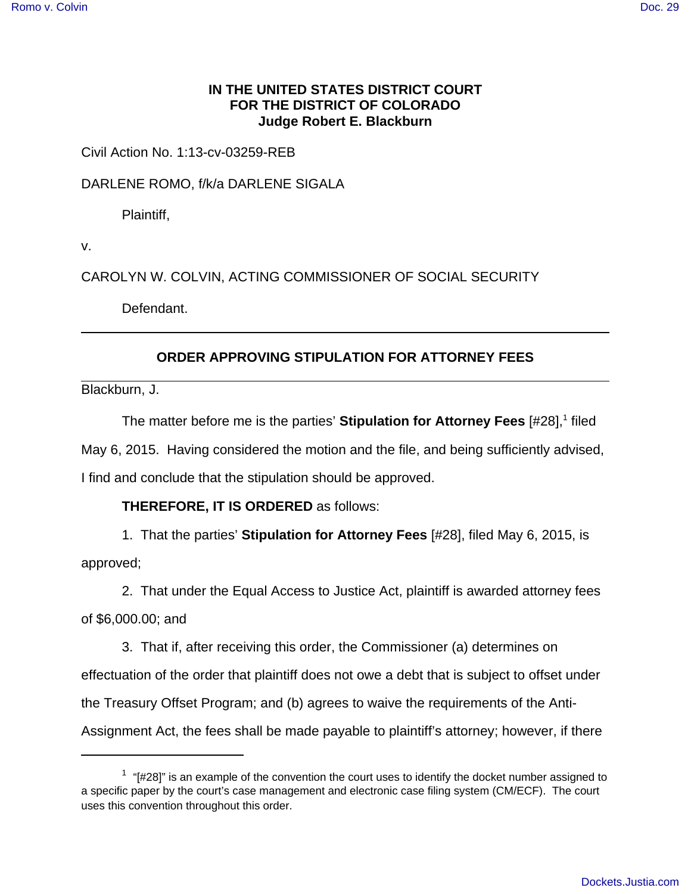## **IN THE UNITED STATES DISTRICT COURT FOR THE DISTRICT OF COLORADO Judge Robert E. Blackburn**

Civil Action No. 1:13-cv-03259-REB

DARLENE ROMO, f/k/a DARLENE SIGALA

Plaintiff,

v.

CAROLYN W. COLVIN, ACTING COMMISSIONER OF SOCIAL SECURITY

Defendant.

## **ORDER APPROVING STIPULATION FOR ATTORNEY FEES**

Blackburn, J.

The matter before me is the parties' **Stipulation for Attorney Fees** [#28],<sup>1</sup> filed May 6, 2015. Having considered the motion and the file, and being sufficiently advised, I find and conclude that the stipulation should be approved.

## **THEREFORE, IT IS ORDERED** as follows:

1. That the parties' **Stipulation for Attorney Fees** [#28], filed May 6, 2015, is

approved;

2. That under the Equal Access to Justice Act, plaintiff is awarded attorney fees of \$6,000.00; and

3. That if, after receiving this order, the Commissioner (a) determines on effectuation of the order that plaintiff does not owe a debt that is subject to offset under the Treasury Offset Program; and (b) agrees to waive the requirements of the Anti-Assignment Act, the fees shall be made payable to plaintiff's attorney; however, if there

 $1$  "[#28]" is an example of the convention the court uses to identify the docket number assigned to a specific paper by the court's case management and electronic case filing system (CM/ECF). The court uses this convention throughout this order.